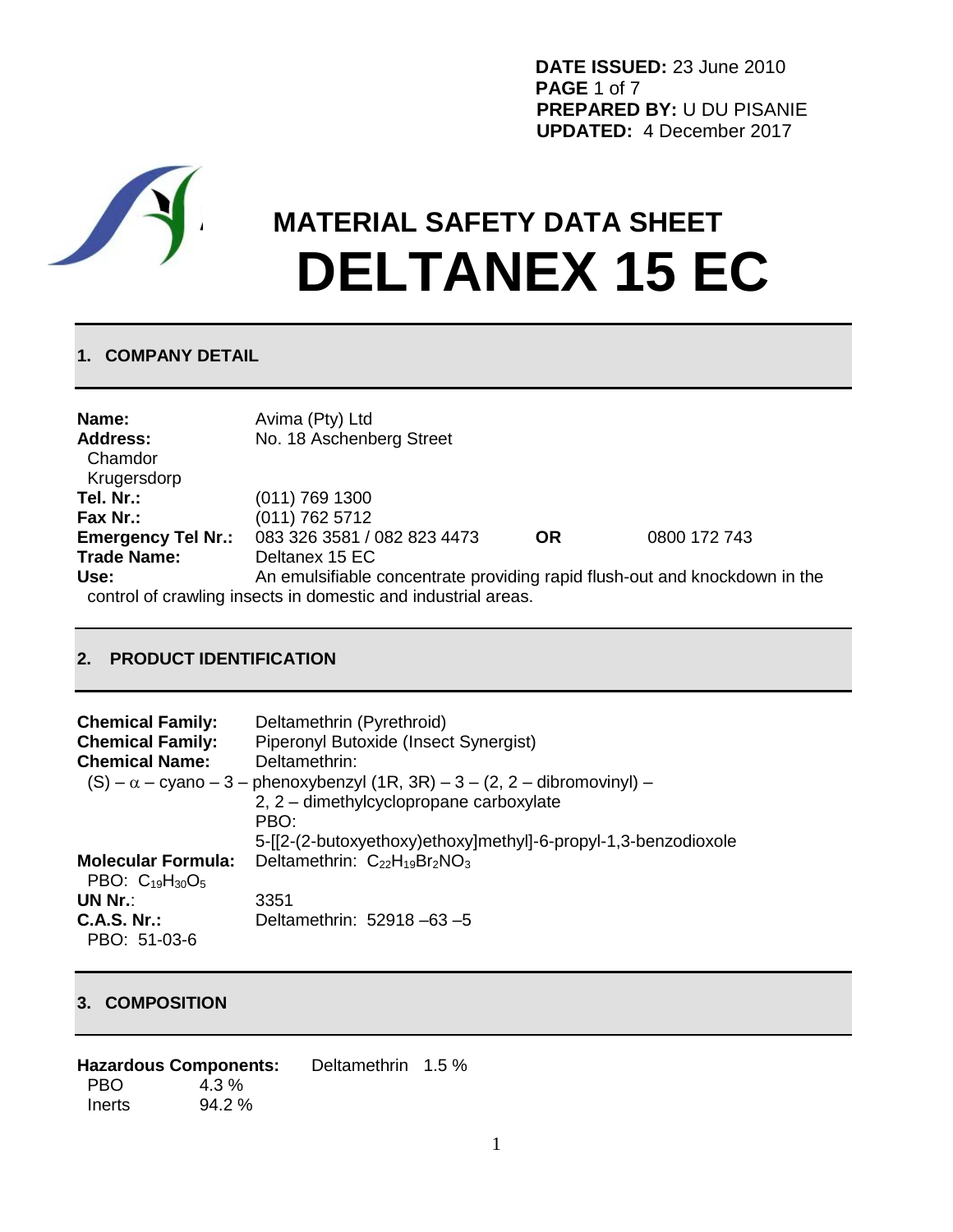**DATE ISSUED:** 23 June 2010 **PAGE** 1 of 7 **PREPARED BY:** U DU PISANIE **UPDATED:** 4 December 2017



# **MATERIAL SAFETY DATA SHEET DELTANEX 15 EC**

# **1. COMPANY DETAIL**

| Name:<br><b>Address:</b><br>Chamdor<br>Krugersdorp | Avima (Pty) Ltd<br>No. 18 Aschenberg Street                                |           |              |
|----------------------------------------------------|----------------------------------------------------------------------------|-----------|--------------|
| Tel. Nr.:                                          | $(011)$ 769 1300                                                           |           |              |
| Fax Nr.:                                           | $(011)$ 762 5712                                                           |           |              |
| <b>Emergency Tel Nr.:</b>                          | 083 326 3581 / 082 823 4473                                                | <b>OR</b> | 0800 172 743 |
| <b>Trade Name:</b>                                 | Deltanex 15 EC                                                             |           |              |
| Use:                                               | An emulsifiable concentrate providing rapid flush-out and knockdown in the |           |              |
|                                                    | control of crawling insects in domestic and industrial areas.              |           |              |

# **2. PRODUCT IDENTIFICATION**

| <b>Chemical Family:</b><br><b>Chemical Family:</b><br><b>Chemical Name:</b> | Deltamethrin (Pyrethroid)<br>Piperonyl Butoxide (Insect Synergist)<br>Deltamethrin:<br>$(S) - \alpha$ – cyano – 3 – phenoxybenzyl (1R, 3R) – 3 – (2, 2 – dibromovinyl) –<br>2, 2 - dimethylcyclopropane carboxylate |
|-----------------------------------------------------------------------------|---------------------------------------------------------------------------------------------------------------------------------------------------------------------------------------------------------------------|
|                                                                             | PRO <sup>-</sup>                                                                                                                                                                                                    |
|                                                                             | 5-[[2-(2-butoxyethoxy)ethoxy]methyl]-6-propyl-1,3-benzodioxole                                                                                                                                                      |
| <b>Molecular Formula:</b><br>PBO: $C_{19}H_{30}O_5$                         | Deltamethrin: $C_{22}H_{19}Br_2NO_3$                                                                                                                                                                                |
| UN Nr.:                                                                     | 3351                                                                                                                                                                                                                |
| C.A.S. Nr.<br>PBO: 51-03-6                                                  | Deltamethrin: 52918-63-5                                                                                                                                                                                            |

# **3. COMPOSITION**

|        | <b>Hazardous Components:</b> | Deltamethrin 1.5 % |  |
|--------|------------------------------|--------------------|--|
| - PBO  | $4.3\%$                      |                    |  |
| Inerts | $94.2\%$                     |                    |  |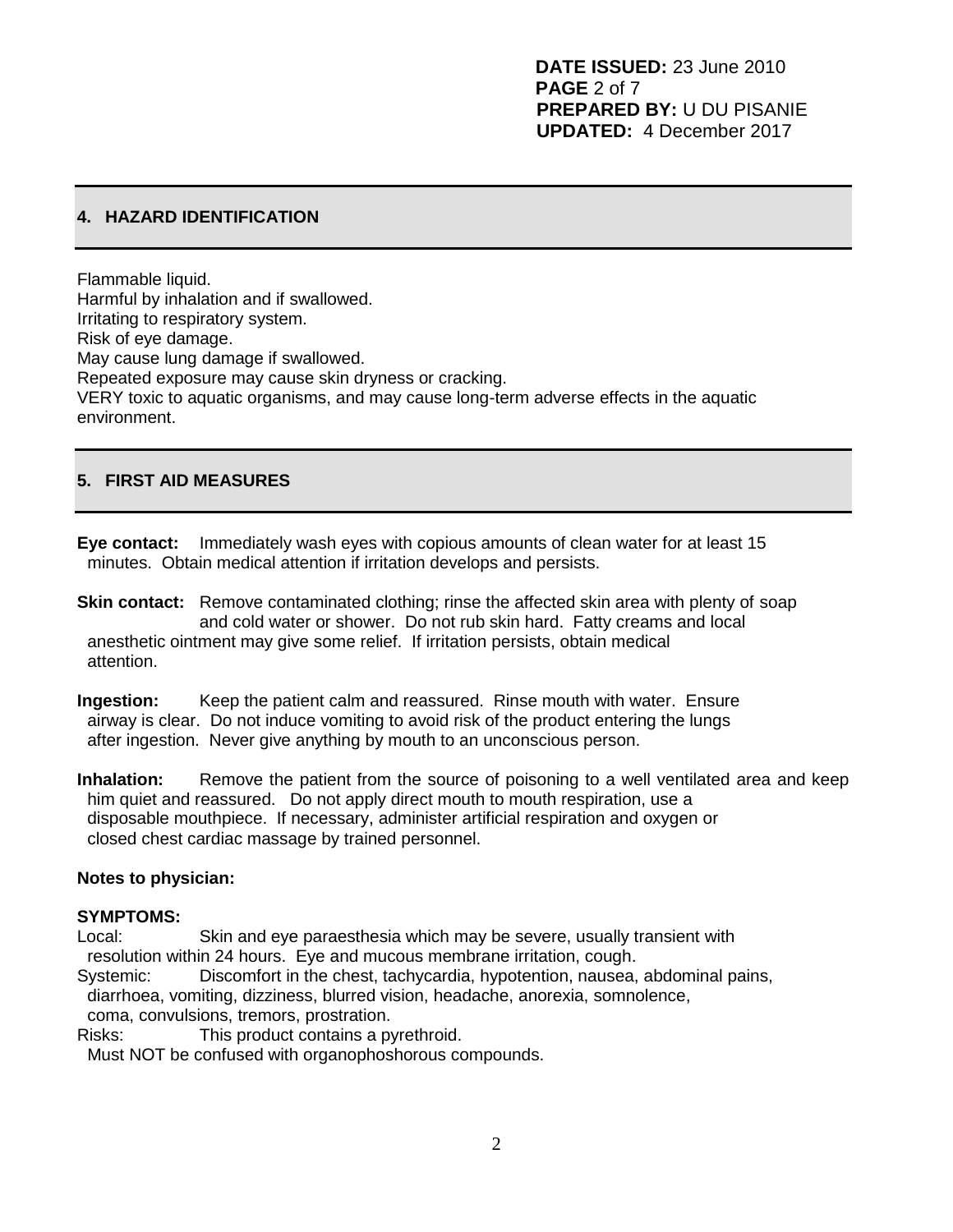# **4. HAZARD IDENTIFICATION**

Flammable liquid. Harmful by inhalation and if swallowed. Irritating to respiratory system. Risk of eye damage. May cause lung damage if swallowed. Repeated exposure may cause skin dryness or cracking. VERY toxic to aquatic organisms, and may cause long-term adverse effects in the aquatic environment.

# **5. FIRST AID MEASURES**

**Eye contact:** Immediately wash eyes with copious amounts of clean water for at least 15 minutes. Obtain medical attention if irritation develops and persists.

- **Skin contact:** Remove contaminated clothing; rinse the affected skin area with plenty of soap and cold water or shower. Do not rub skin hard. Fatty creams and local anesthetic ointment may give some relief. If irritation persists, obtain medical attention.
- **Ingestion:** Keep the patient calm and reassured. Rinse mouth with water. Ensure airway is clear. Do not induce vomiting to avoid risk of the product entering the lungs after ingestion. Never give anything by mouth to an unconscious person.
- **Inhalation:** Remove the patient from the source of poisoning to a well ventilated area and keep him quiet and reassured. Do not apply direct mouth to mouth respiration, use a disposable mouthpiece. If necessary, administer artificial respiration and oxygen or closed chest cardiac massage by trained personnel.

#### **Notes to physician:**

#### **SYMPTOMS:**

- Local: Skin and eye paraesthesia which may be severe, usually transient with resolution within 24 hours. Eye and mucous membrane irritation, cough.
- Systemic: Discomfort in the chest, tachycardia, hypotention, nausea, abdominal pains, diarrhoea, vomiting, dizziness, blurred vision, headache, anorexia, somnolence, coma, convulsions, tremors, prostration.
- Risks: This product contains a pyrethroid.

Must NOT be confused with organophoshorous compounds.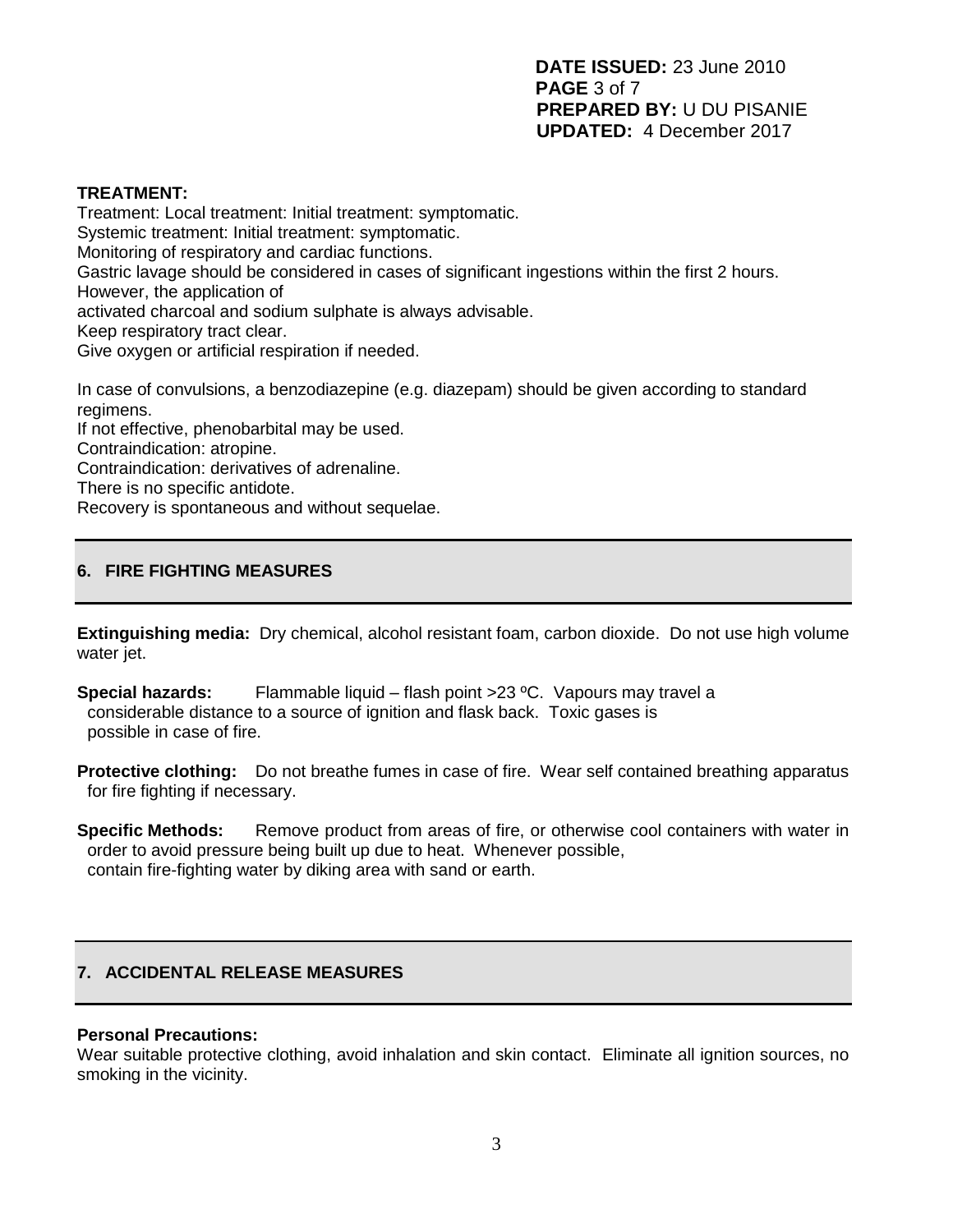#### **TREATMENT:**

Treatment: Local treatment: Initial treatment: symptomatic. Systemic treatment: Initial treatment: symptomatic. Monitoring of respiratory and cardiac functions. Gastric lavage should be considered in cases of significant ingestions within the first 2 hours. However, the application of activated charcoal and sodium sulphate is always advisable. Keep respiratory tract clear. Give oxygen or artificial respiration if needed.

In case of convulsions, a benzodiazepine (e.g. diazepam) should be given according to standard regimens.

If not effective, phenobarbital may be used. Contraindication: atropine. Contraindication: derivatives of adrenaline. There is no specific antidote. Recovery is spontaneous and without sequelae.

# **6. FIRE FIGHTING MEASURES**

**Extinguishing media:** Dry chemical, alcohol resistant foam, carbon dioxide. Do not use high volume water jet.

**Special hazards:** Flammable liquid – flash point >23 ºC. Vapours may travel a considerable distance to a source of ignition and flask back. Toxic gases is possible in case of fire.

**Protective clothing:** Do not breathe fumes in case of fire. Wear self contained breathing apparatus for fire fighting if necessary.

**Specific Methods:** Remove product from areas of fire, or otherwise cool containers with water in order to avoid pressure being built up due to heat. Whenever possible, contain fire-fighting water by diking area with sand or earth.

# **7. ACCIDENTAL RELEASE MEASURES**

#### **Personal Precautions:**

Wear suitable protective clothing, avoid inhalation and skin contact. Eliminate all ignition sources, no smoking in the vicinity.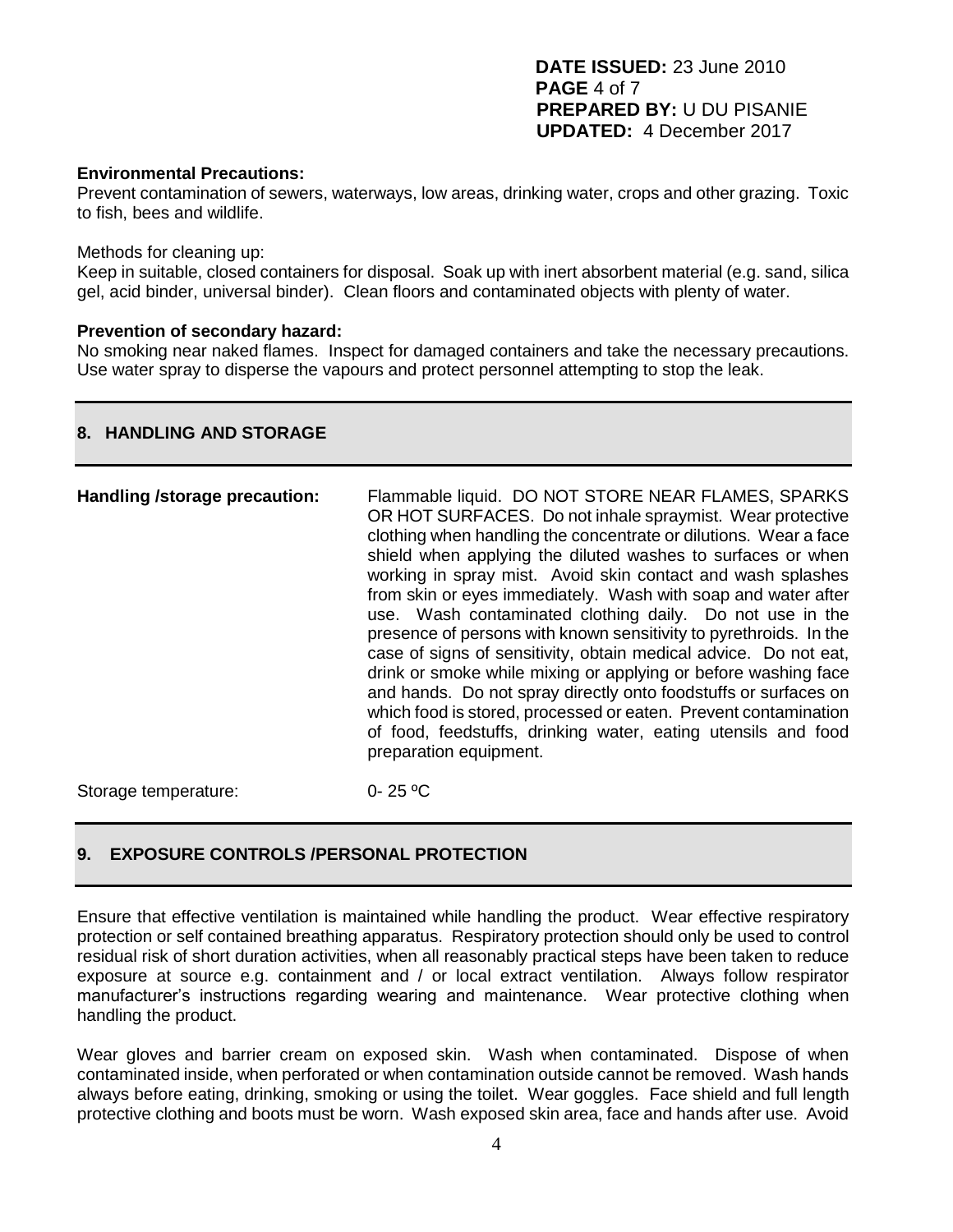**DATE ISSUED:** 23 June 2010 **PAGE** 4 of 7 **PREPARED BY:** U DU PISANIE **UPDATED:** 4 December 2017

#### **Environmental Precautions:**

Prevent contamination of sewers, waterways, low areas, drinking water, crops and other grazing. Toxic to fish, bees and wildlife.

#### Methods for cleaning up:

Keep in suitable, closed containers for disposal. Soak up with inert absorbent material (e.g. sand, silica gel, acid binder, universal binder). Clean floors and contaminated objects with plenty of water.

#### **Prevention of secondary hazard:**

No smoking near naked flames. Inspect for damaged containers and take the necessary precautions. Use water spray to disperse the vapours and protect personnel attempting to stop the leak.

#### **8. HANDLING AND STORAGE**

Storage temperature: 0- 25 °C

# **9. EXPOSURE CONTROLS /PERSONAL PROTECTION**

Ensure that effective ventilation is maintained while handling the product. Wear effective respiratory protection or self contained breathing apparatus. Respiratory protection should only be used to control residual risk of short duration activities, when all reasonably practical steps have been taken to reduce exposure at source e.g. containment and / or local extract ventilation. Always follow respirator manufacturer's instructions regarding wearing and maintenance. Wear protective clothing when handling the product.

Wear gloves and barrier cream on exposed skin. Wash when contaminated. Dispose of when contaminated inside, when perforated or when contamination outside cannot be removed. Wash hands always before eating, drinking, smoking or using the toilet. Wear goggles. Face shield and full length protective clothing and boots must be worn. Wash exposed skin area, face and hands after use. Avoid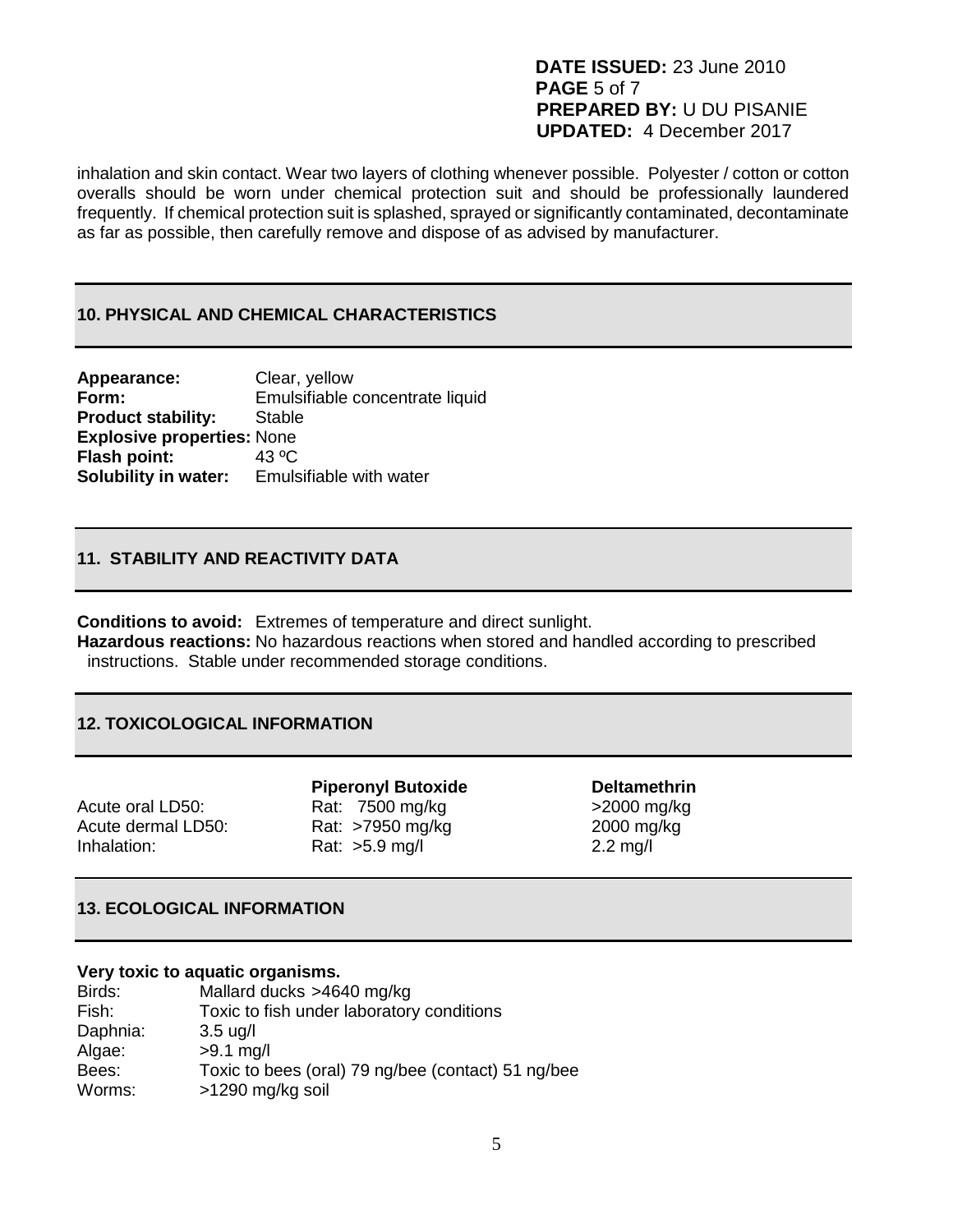# **DATE ISSUED:** 23 June 2010 **PAGE** 5 of 7 **PREPARED BY:** U DU PISANIE **UPDATED:** 4 December 2017

inhalation and skin contact. Wear two layers of clothing whenever possible. Polyester / cotton or cotton overalls should be worn under chemical protection suit and should be professionally laundered frequently. If chemical protection suit is splashed, sprayed or significantly contaminated, decontaminate as far as possible, then carefully remove and dispose of as advised by manufacturer.

#### **10. PHYSICAL AND CHEMICAL CHARACTERISTICS**

| Appearance:                       | Clear, yellow                   |
|-----------------------------------|---------------------------------|
| Form:                             | Emulsifiable concentrate liquid |
| <b>Product stability:</b>         | <b>Stable</b>                   |
| <b>Explosive properties: None</b> |                                 |
| <b>Flash point:</b>               | 43 $^{\circ}$ C                 |
| <b>Solubility in water:</b>       | Emulsifiable with water         |

# **11. STABILITY AND REACTIVITY DATA**

**Conditions to avoid:** Extremes of temperature and direct sunlight.

**Hazardous reactions:** No hazardous reactions when stored and handled according to prescribed instructions. Stable under recommended storage conditions.

#### **12. TOXICOLOGICAL INFORMATION**

| Acute oral LD50:   |
|--------------------|
| Acute dermal LD50: |
| Inhalation:        |

**Piperonyl Butoxide by Deltamethrin** Rat:  $7500 \text{ mg/kg}$  $7500 \text{ mg/kg}$  $7500 \text{ mg/kg}$  $7500 \text{ mg/kg}$   $>2000 \text{ mg/kg}$ Rat: >7950 mg/kg 2000 mg/kg Rat:  $>5.9$  [mg/](file:///C:/Program%20Files/BCPEPM/ePM2%20A:167)l 2.2 mg/l

# **13. ECOLOGICAL INFORMATION**

#### **Very toxic to aquatic organisms.**

| Birds:   | Mallard ducks >4640 mg/kg                          |
|----------|----------------------------------------------------|
| Fish:    | Toxic to fish under laboratory conditions          |
| Daphnia: | $3.5 \text{ u}$ g/l                                |
| Algae:   | $>9.1$ mg/l                                        |
| Bees:    | Toxic to bees (oral) 79 ng/bee (contact) 51 ng/bee |
| Worms:   | >1290 mg/kg soil                                   |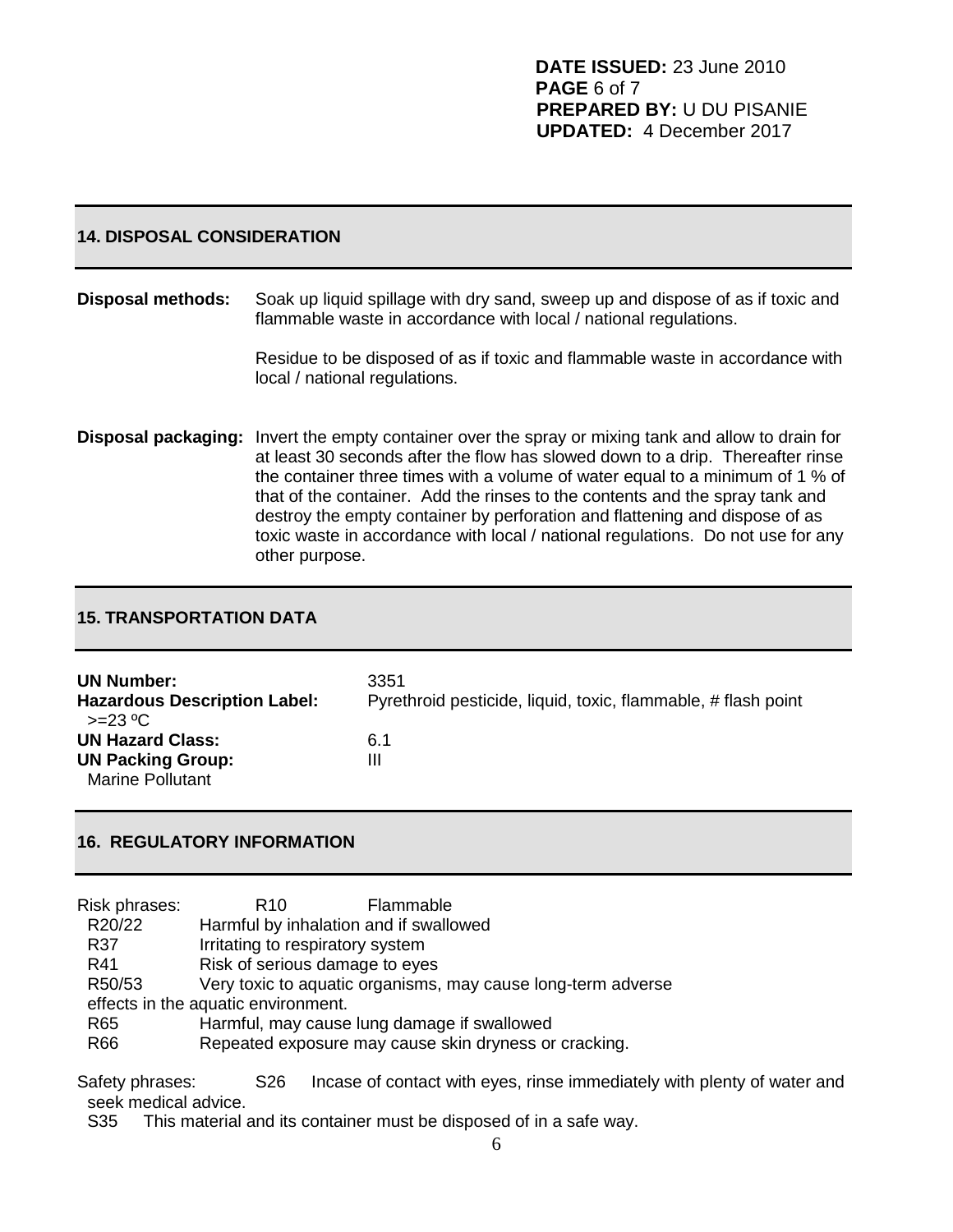#### **14. DISPOSAL CONSIDERATION**

#### **Disposal methods:** Soak up liquid spillage with dry sand, sweep up and dispose of as if toxic and flammable waste in accordance with local / national regulations.

Residue to be disposed of as if toxic and flammable waste in accordance with local / national regulations.

**Disposal packaging:** Invert the empty container over the spray or mixing tank and allow to drain for at least 30 seconds after the flow has slowed down to a drip. Thereafter rinse the container three times with a volume of water equal to a minimum of 1 % of that of the container. Add the rinses to the contents and the spray tank and destroy the empty container by perforation and flattening and dispose of as toxic waste in accordance with local / national regulations. Do not use for any other purpose.

### **15. TRANSPORTATION DATA**

| <b>UN Number:</b><br><b>Hazardous Description Label:</b><br>$>=23 °C$ | 3351<br>Pyrethroid pesticide, liquid, toxic, flammable, # flash point |
|-----------------------------------------------------------------------|-----------------------------------------------------------------------|
| <b>UN Hazard Class:</b>                                               | 6.1                                                                   |
| <b>UN Packing Group:</b>                                              | Ш                                                                     |
| <b>Marine Pollutant</b>                                               |                                                                       |

# **16. REGULATORY INFORMATION**

| Risk phrases: | Flammable<br>R <sub>10</sub>                                 |
|---------------|--------------------------------------------------------------|
| R20/22        | Harmful by inhalation and if swallowed                       |
| R37           | Irritating to respiratory system                             |
| R41           | Risk of serious damage to eyes                               |
| R50/53        | Very toxic to aquatic organisms, may cause long-term adverse |
|               | effects in the aquatic environment.                          |
| R65           | Harmful, may cause lung damage if swallowed                  |
| R66           | Repeated exposure may cause skin dryness or cracking.        |

Safety phrases: S26 Incase of contact with eyes, rinse immediately with plenty of water and seek medical advice.

S35 This material and its container must be disposed of in a safe way.